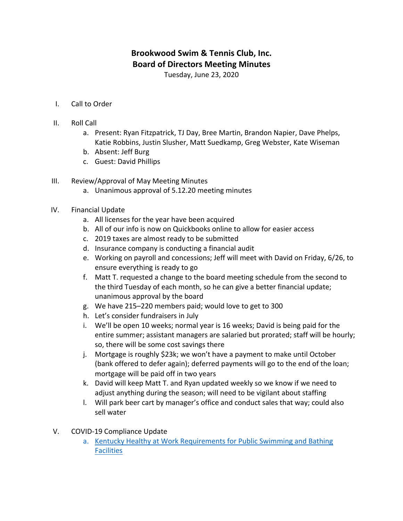## **Brookwood Swim & Tennis Club, Inc. Board of Directors Meeting Minutes**

Tuesday, June 23, 2020

- I. Call to Order
- II. Roll Call
	- a. Present: Ryan Fitzpatrick, TJ Day, Bree Martin, Brandon Napier, Dave Phelps, Katie Robbins, Justin Slusher, Matt Suedkamp, Greg Webster, Kate Wiseman
	- b. Absent: Jeff Burg
	- c. Guest: David Phillips
- III. Review/Approval of May Meeting Minutes
	- a. Unanimous approval of 5.12.20 meeting minutes
- IV. Financial Update
	- a. All licenses for the year have been acquired
	- b. All of our info is now on Quickbooks online to allow for easier access
	- c. 2019 taxes are almost ready to be submitted
	- d. Insurance company is conducting a financial audit
	- e. Working on payroll and concessions; Jeff will meet with David on Friday, 6/26, to ensure everything is ready to go
	- f. Matt T. requested a change to the board meeting schedule from the second to the third Tuesday of each month, so he can give a better financial update; unanimous approval by the board
	- g. We have 215–220 members paid; would love to get to 300
	- h. Let's consider fundraisers in July
	- i. We'll be open 10 weeks; normal year is 16 weeks; David is being paid for the entire summer; assistant managers are salaried but prorated; staff will be hourly; so, there will be some cost savings there
	- j. Mortgage is roughly \$23k; we won't have a payment to make until October (bank offered to defer again); deferred payments will go to the end of the loan; mortgage will be paid off in two years
	- k. David will keep Matt T. and Ryan updated weekly so we know if we need to adjust anything during the season; will need to be vigilant about staffing
	- I. Will park beer cart by manager's office and conduct sales that way; could also sell water
- V. COVID-19 Compliance Update
	- a. Kentucky Healthy at Work Requirements for Public Swimming and Bathing Facilities